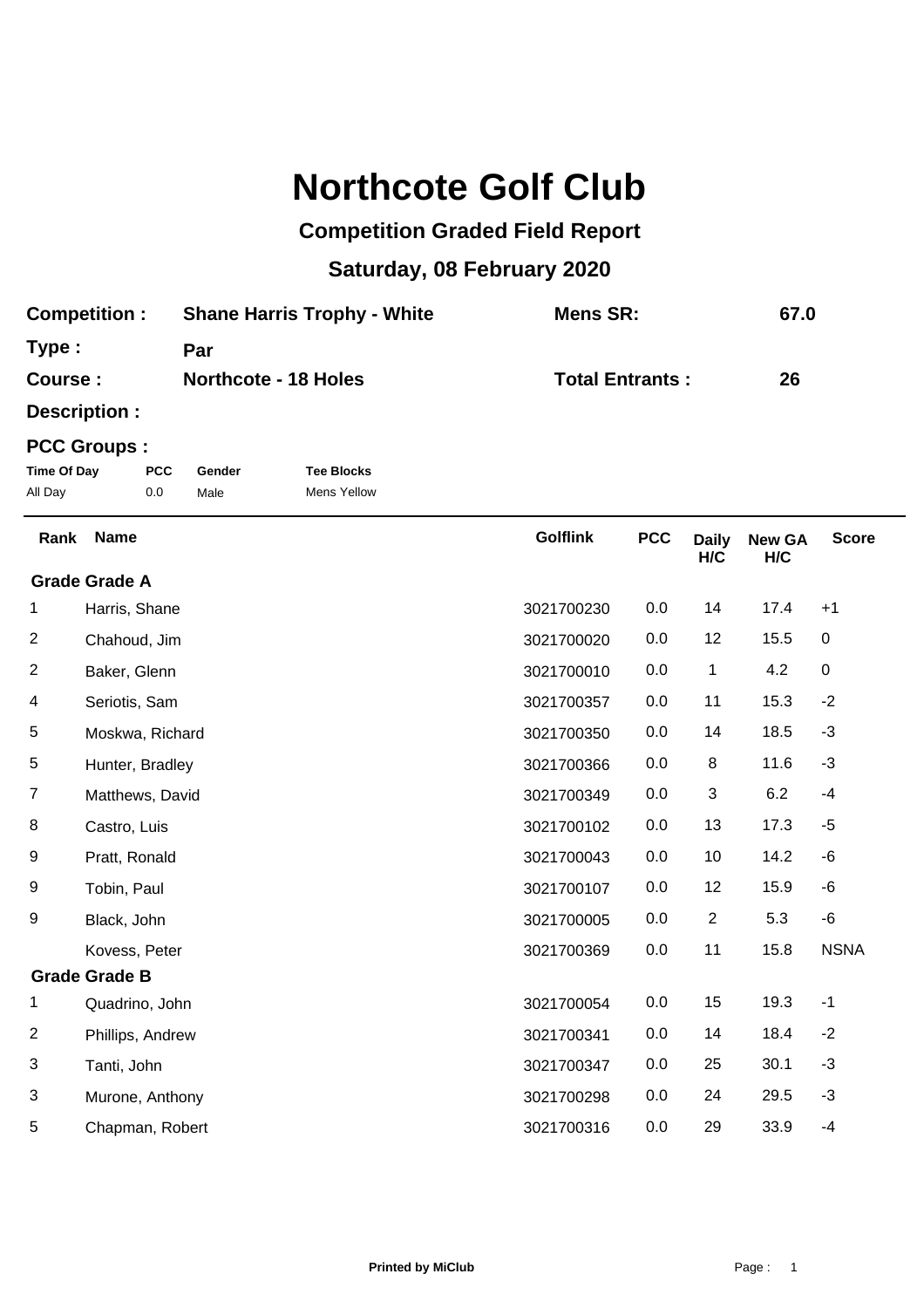## **Northcote Golf Club**

## **Competition Graded Field Report**

## **Saturday, 08 February 2020**

| <b>Competition:</b> | <b>Shane Harris Trophy - White</b> | Mens SR:               | 67.0 |
|---------------------|------------------------------------|------------------------|------|
| Type:               | Par                                |                        |      |
| Course :            | <b>Northcote - 18 Holes</b>        | <b>Total Entrants:</b> | 26   |

**Description :**

## **PCC Groups :**

| Time Of Day | <b>PCC</b> | Gender | <b>Tee Blocks</b>  |
|-------------|------------|--------|--------------------|
| All Day     | 0.0        | Male   | <b>Mens Yellow</b> |

| Rank | <b>Name</b>          | <b>Golflink</b> | <b>PCC</b> | <b>Daily</b><br>H/C | <b>New GA</b><br>H/C | <b>Score</b> |
|------|----------------------|-----------------|------------|---------------------|----------------------|--------------|
|      | <b>Grade Grade A</b> |                 |            |                     |                      |              |
| 1    | Harris, Shane        | 3021700230      | 0.0        | 14                  | 17.4                 | $+1$         |
| 2    | Chahoud, Jim         | 3021700020      | 0.0        | 12                  | 15.5                 | $\mathbf 0$  |
| 2    | Baker, Glenn         | 3021700010      | 0.0        | 1                   | 4.2                  | $\pmb{0}$    |
| 4    | Seriotis, Sam        | 3021700357      | 0.0        | 11                  | 15.3                 | $-2$         |
| 5    | Moskwa, Richard      | 3021700350      | 0.0        | 14                  | 18.5                 | $-3$         |
| 5    | Hunter, Bradley      | 3021700366      | 0.0        | 8                   | 11.6                 | $-3$         |
| 7    | Matthews, David      | 3021700349      | 0.0        | 3                   | 6.2                  | $-4$         |
| 8    | Castro, Luis         | 3021700102      | 0.0        | 13                  | 17.3                 | $-5$         |
| 9    | Pratt, Ronald        | 3021700043      | 0.0        | 10                  | 14.2                 | -6           |
| 9    | Tobin, Paul          | 3021700107      | 0.0        | 12                  | 15.9                 | -6           |
| 9    | Black, John          | 3021700005      | 0.0        | $\overline{2}$      | 5.3                  | -6           |
|      | Kovess, Peter        | 3021700369      | 0.0        | 11                  | 15.8                 | <b>NSNA</b>  |
|      | <b>Grade Grade B</b> |                 |            |                     |                      |              |
| 1    | Quadrino, John       | 3021700054      | 0.0        | 15                  | 19.3                 | $-1$         |
| 2    | Phillips, Andrew     | 3021700341      | 0.0        | 14                  | 18.4                 | $-2$         |
| 3    | Tanti, John          | 3021700347      | 0.0        | 25                  | 30.1                 | $-3$         |
| 3    | Murone, Anthony      | 3021700298      | 0.0        | 24                  | 29.5                 | $-3$         |
| 5    | Chapman, Robert      | 3021700316      | 0.0        | 29                  | 33.9                 | $-4$         |